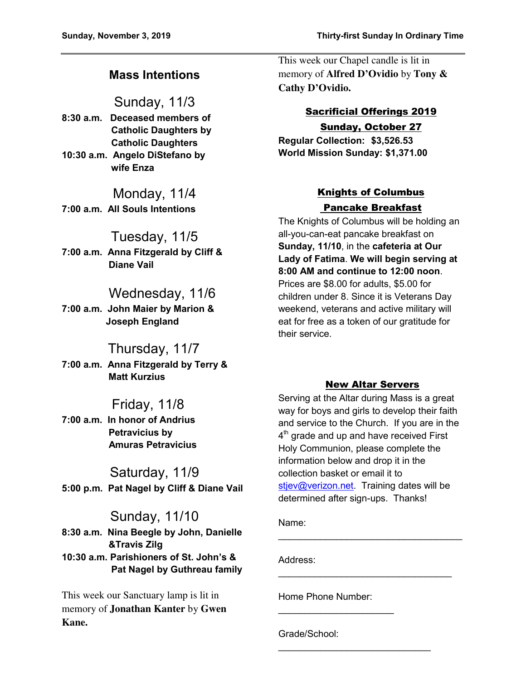# **Mass Intentions**

# Sunday, 11/3

**8:30 a.m. Deceased members of Catholic Daughters by Catholic Daughters 10:30 a.m. Angelo DiStefano by wife Enza** 

Monday, 11/4 **7:00 a.m. All Souls Intentions** 

# Tuesday, 11/5

**7:00 a.m. Anna Fitzgerald by Cliff & Diane Vail** 

# Wednesday, 11/6

**7:00 a.m. John Maier by Marion & Joseph England** 

# Thursday, 11/7

**7:00 a.m. Anna Fitzgerald by Terry & Matt Kurzius** 

# Friday, 11/8

**7:00 a.m. In honor of Andrius Petravicius by Amuras Petravicius** 

# Saturday, 11/9 **5:00 p.m. Pat Nagel by Cliff & Diane Vail**

# Sunday, 11/10

**8:30 a.m. Nina Beegle by John, Danielle &Travis Zilg 10:30 a.m. Parishioners of St. John's & Pat Nagel by Guthreau family** 

This week our Sanctuary lamp is lit in memory of **Jonathan Kanter** by **Gwen Kane.** 

This week our Chapel candle is lit in memory of **Alfred D'Ovidio** by **Tony & Cathy D'Ovidio.** 

# Sacrificial Offerings 2019

### Sunday, October 27

**Regular Collection: \$3,526.53 World Mission Sunday: \$1,371.00** 

## Knights of Columbus Pancake Breakfast

The Knights of Columbus will be holding an all-you-can-eat pancake breakfast on **Sunday, 11/10**, in the **cafeteria at Our Lady of Fatima**. **We will begin serving at 8:00 AM and continue to 12:00 noon**. Prices are \$8.00 for adults, \$5.00 for children under 8. Since it is Veterans Day weekend, veterans and active military will eat for free as a token of our gratitude for their service.

### New Altar Servers

Serving at the Altar during Mass is a great way for boys and girls to develop their faith and service to the Church. If you are in the  $4^{\text{th}}$  grade and up and have received First Holy Communion, please complete the information below and drop it in the collection basket or email it to [stjev@verizon.net.](mailto:stjev@verizon.net) Training dates will be determined after sign-ups. Thanks!

 $\mathcal{L}_\text{max}$  , where  $\mathcal{L}_\text{max}$  , we have the set of  $\mathcal{L}_\text{max}$ 

 $\mathcal{L}_\text{max}$  , and the set of the set of the set of the set of the set of the set of the set of the set of the set of the set of the set of the set of the set of the set of the set of the set of the set of the set of the

 $\mathcal{L}_\text{max}$  , where  $\mathcal{L}_\text{max}$  , we have the set of  $\mathcal{L}_\text{max}$ 

Name:

Address:

Home Phone Number:

\_\_\_\_\_\_\_\_\_\_\_\_\_\_\_\_\_\_\_\_\_\_

Grade/School: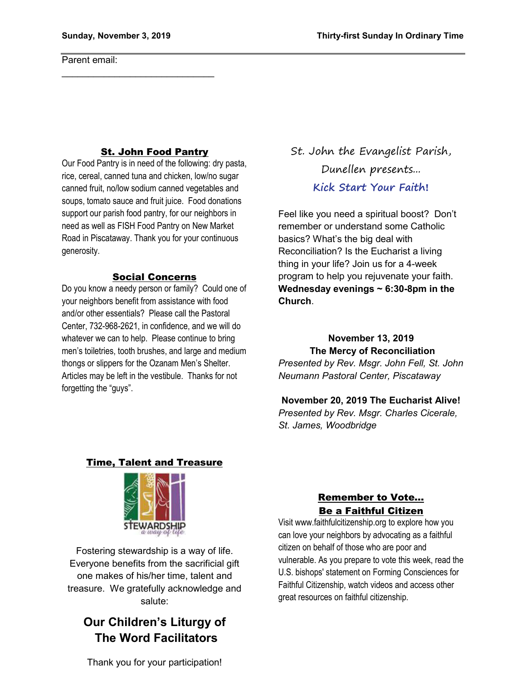$\mathcal{L}_\text{max}$  , which is a set of the set of the set of the set of the set of the set of the set of the set of the set of the set of the set of the set of the set of the set of the set of the set of the set of the set of

Parent email:

### St. John Food Pantry

Our Food Pantry is in need of the following: dry pasta, rice, cereal, canned tuna and chicken, low/no sugar canned fruit, no/low sodium canned vegetables and soups, tomato sauce and fruit juice. Food donations support our parish food pantry, for our neighbors in need as well as FISH Food Pantry on New Market Road in Piscataway. Thank you for your continuous generosity.

#### Social Concerns

Do you know a needy person or family? Could one of your neighbors benefit from assistance with food and/or other essentials? Please call the Pastoral Center, 732-968-2621, in confidence, and we will do whatever we can to help. Please continue to bring men's toiletries, tooth brushes, and large and medium thongs or slippers for the Ozanam Men's Shelter. Articles may be left in the vestibule. Thanks for not forgetting the "guys".

St. John the Evangelist Parish, Dunellen presents... **Kick Start Your Faith!**

Feel like you need a spiritual boost? Don't remember or understand some Catholic basics? What's the big deal with Reconciliation? Is the Eucharist a living thing in your life? Join us for a 4-week program to help you rejuvenate your faith. **Wednesday evenings ~ 6:30-8pm in the Church**.

**November 13, 2019 The Mercy of Reconciliation** *Presented by Rev. Msgr. John Fell, St. John Neumann Pastoral Center, Piscataway* 

**November 20, 2019 The Eucharist Alive!** *Presented by Rev. Msgr. Charles Cicerale, St. James, Woodbridge*

### Time, Talent and Treasure



Fostering stewardship is a way of life. Everyone benefits from the sacrificial gift one makes of his/her time, talent and treasure. We gratefully acknowledge and salute:

# **Our Children's Liturgy of The Word Facilitators**

### Remember to Vote… Be a Faithful Citizen

Visit www.faithfulcitizenship.org to explore how you can love your neighbors by advocating as a faithful citizen on behalf of those who are poor and vulnerable. As you prepare to vote this week, read the U.S. bishops' statement on Forming Consciences for Faithful Citizenship, watch videos and access other great resources on faithful citizenship.

Thank you for your participation!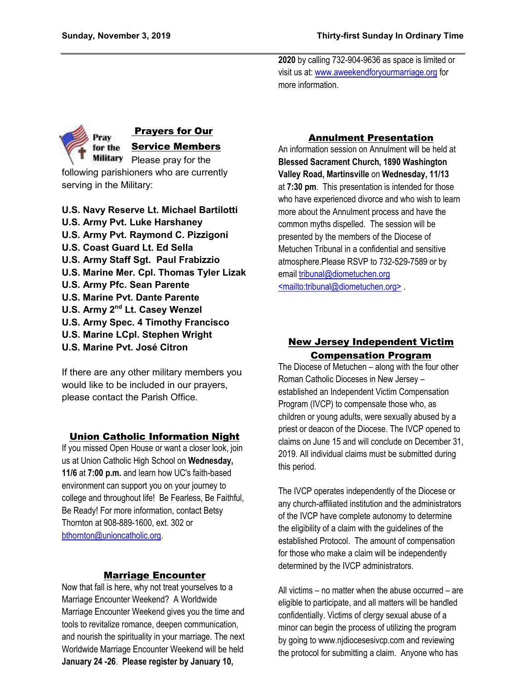**2020** by calling 732-904-9636 as space is limited or visit us at[: www.aweekendforyourmarriage.org](http://www.aweekendforyourmarriage.org/) for more information.



### Prayers for Our Service Members

Military Please pray for the following parishioners who are currently serving in the Military:

- **U.S. Navy Reserve Lt. Michael Bartilotti U.S. Army Pvt. Luke Harshaney U.S. Army Pvt. Raymond C. Pizzigoni U.S. Coast Guard Lt. Ed Sella U.S. Army Staff Sgt. Paul Frabizzio U.S. Marine Mer. Cpl. Thomas Tyler Lizak U.S. Army Pfc. Sean Parente U.S. Marine Pvt. Dante Parente U.S. Army 2nd Lt. Casey Wenzel U.S. Army Spec. 4 Timothy Francisco U.S. Marine LCpl. Stephen Wright**
- **U.S. Marine Pvt. José Citron**

If there are any other military members you would like to be included in our prayers, please contact the Parish Office.

### Union Catholic Information Night

If you missed Open House or want a closer look, join us at Union Catholic High School on **Wednesday, 11/6** at **7:00 p.m.** and learn how UC's faith-based environment can support you on your journey to college and throughout life! Be Fearless, Be Faithful, Be Ready! For more information, contact Betsy Thornton at 908-889-1600, ext. 302 or [bthornton@unioncatholic.org.](mailto:bthornton@unioncatholic.org)

### Marriage Encounter

Now that fall is here, why not treat yourselves to a Marriage Encounter Weekend? A Worldwide Marriage Encounter Weekend gives you the time and tools to revitalize romance, deepen communication, and nourish the spirituality in your marriage. The next Worldwide Marriage Encounter Weekend will be held **January 24 -26**. **Please register by January 10,** 

### Annulment Presentation

An information session on Annulment will be held at **Blessed Sacrament Church, 1890 Washington Valley Road, Martinsville** on **Wednesday, 11/13** at **7:30 pm**. This presentation is intended for those who have experienced divorce and who wish to learn more about the Annulment process and have the common myths dispelled. The session will be presented by the members of the Diocese of Metuchen Tribunal in a confidential and sensitive atmosphere.Please RSVP to 732-529-7589 or by email [tribunal@diometuchen.org](mailto:tribunal@diometuchen.org) [<mailto:tribunal@diometuchen.org>](mailto:tribunal@diometuchen.org) .

### New Jersey Independent Victim Compensation Program

The Diocese of Metuchen – along with the four other Roman Catholic Dioceses in New Jersey – established an Independent Victim Compensation Program (IVCP) to compensate those who, as children or young adults, were sexually abused by a priest or deacon of the Diocese. The IVCP opened to claims on June 15 and will conclude on December 31, 2019. All individual claims must be submitted during this period.

The IVCP operates independently of the Diocese or any church-affiliated institution and the administrators of the IVCP have complete autonomy to determine the eligibility of a claim with the guidelines of the established Protocol. The amount of compensation for those who make a claim will be independently determined by the IVCP administrators.

All victims – no matter when the abuse occurred – are eligible to participate, and all matters will be handled confidentially. Victims of clergy sexual abuse of a minor can begin the process of utilizing the program by going to www.njdiocesesivcp.com and reviewing the protocol for submitting a claim. Anyone who has